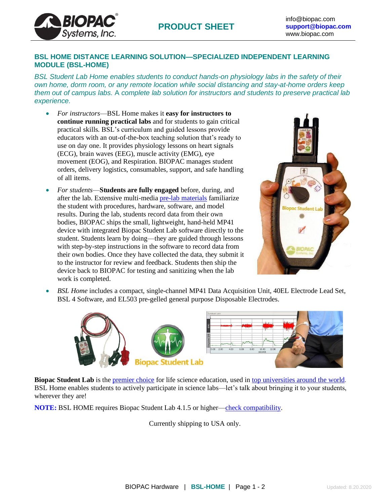# **BSL HOME DISTANCE LEARNING SOLUTION—SPECIALIZED INDEPENDENT LEARNING MODULE (BSL-HOME)**

*BSL Student Lab Home enables students to conduct hands-on physiology labs in the safety of their own home, dorm room, or any remote location while social distancing and stay-at-home orders keep them out of campus labs.* A *complete lab solution for instructors and students to preserve practical lab experience.*

• *For instructors*—BSL Home makes it **easy for instructors to continue running practical labs** and for students to gain critical practical skills. BSL's curriculum and guided lessons provide educators with an out-of-the-box teaching solution that's ready to use on day one. It provides physiology lessons on heart signals (ECG), brain waves (EEG), muscle activity (EMG), eye movement (EOG), and Respiration. BIOPAC manages student orders, delivery logistics, consumables, support, and safe handling of all items.

**BIOPA** 

Systems, Inc.

• *For students*—**Students are fully engaged** before, during, and after the lab. Extensive multi-media pre-lab [materials](https://www.biopac.com/support/bsl-analysis-student-rsd-download/) familiarize the student with procedures, hardware, software, and model results. During the lab, students record data from their own bodies, BIOPAC ships the small, lightweight, hand-held MP41 device with integrated Biopac Student Lab software directly to the student. Students learn by doing—they are guided through lessons with step-by-step instructions in the software to record data from their own bodies. Once they have collected the data, they submit it to the instructor for review and feedback. Students then ship the device back to BIOPAC for testing and sanitizing when the lab work is completed.



• *BSL Home* includes a compact, single-channel MP41 Data Acquisition Unit, 40EL Electrode Lead Set, BSL 4 Software, and EL503 pre-gelled general purpose Disposable Electrodes.



**Biopac [Student](https://www.biopac.com/education/) Lab** is the [premier](https://www.biopac.com/biopac-products-ranked-1-physiology-experiments-haps-members/) choice for life science education, used in top [universities](https://www.biopac.com/wp-content/uploads/bsl-users-world.pdf) around the world. BSL Home enables students to actively participate in science labs—let's talk about bringing it to your students, wherever they are!

**NOTE:** BSL HOME requires Biopac Student Lab 4.1.5 or higher[—check compatibility.](https://www.biopac.com/wp-content/uploads/compatibility.pdf)

Currently shipping to USA only.